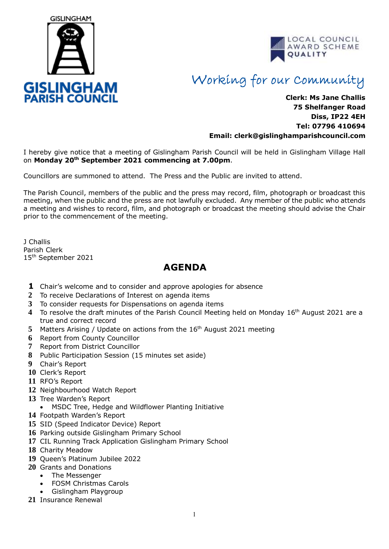



## Working for our Community

## **Clerk: Ms Jane Challis 75 Shelfanger Road Diss, IP22 4EH Tel: 07796 410694 Email: clerk[@gislinghamparishcouncil.com](mailto:gislinghamparishcouncil@gmail.com)**

I hereby give notice that a meeting of Gislingham Parish Council will be held in Gislingham Village Hall on **Monday 20th September 2021 commencing at 7.00pm**.

Councillors are summoned to attend. The Press and the Public are invited to attend.

The Parish Council, members of the public and the press may record, film, photograph or broadcast this meeting, when the public and the press are not lawfully excluded. Any member of the public who attends a meeting and wishes to record, film, and photograph or broadcast the meeting should advise the Chair prior to the commencement of the meeting.

J Challis Parish Clerk 15th September 2021

## **AGENDA**

- **1** Chair's welcome and to consider and approve apologies for absence
- **2** To receive Declarations of Interest on agenda items
- **3** To consider requests for Dispensations on agenda items
- 4 To resolve the draft minutes of the Parish Council Meeting held on Monday 16<sup>th</sup> August 2021 are a true and correct record
- 5 Matters Arising / Update on actions from the 16<sup>th</sup> August 2021 meeting
- **6** Report from County Councillor
- **7** Report from District Councillor
- **8** Public Participation Session (15 minutes set aside)
- **9** Chair's Report
- **10** Clerk's Report
- **11** RFO's Report
- **12** Neighbourhood Watch Report
- **13** Tree Warden's Report
- MSDC Tree, Hedge and Wildflower Planting Initiative
- **14** Footpath Warden's Report
- **15** SID (Speed Indicator Device) Report
- **16** Parking outside Gislingham Primary School
- **17** CIL Running Track Application Gislingham Primary School
- **18** Charity Meadow
- **19** Queen's Platinum Jubilee 2022
- **20** Grants and Donations
	- The Messenger
		- FOSM Christmas Carols
	- Gislingham Playgroup
- **21** Insurance Renewal